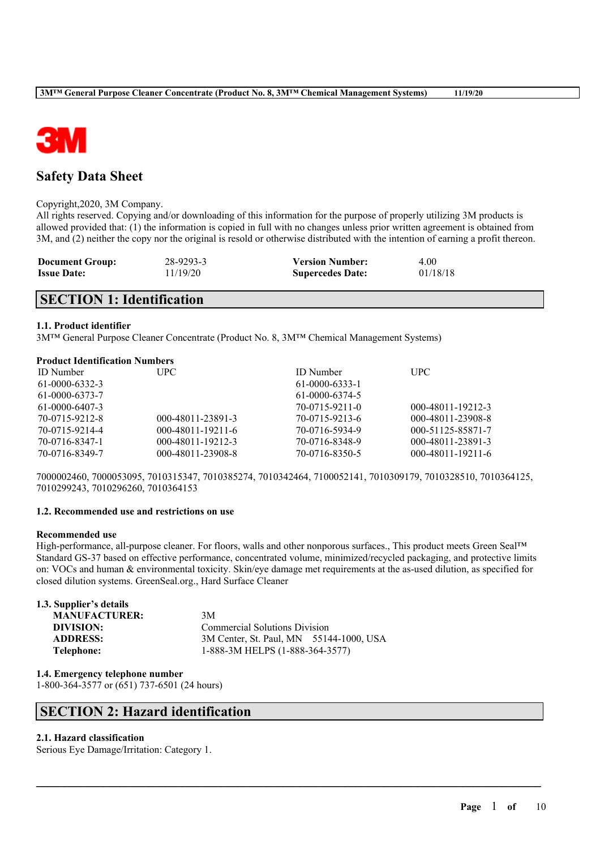

### **Safety Data Sheet**

#### Copyright,2020, 3M Company.

All rights reserved. Copying and/or downloading of this information for the purpose of properly utilizing 3M products is allowed provided that: (1) the information is copied in full with no changes unless prior written agreement is obtained from 3M, and (2) neither the copy nor the original is resold or otherwise distributed with the intention of earning a profit thereon.

| <b>Document Group:</b> | 28-9293-3 | <b>Version Number:</b>  | 4.00     |
|------------------------|-----------|-------------------------|----------|
| <b>Issue Date:</b>     | 11/19/20  | <b>Supercedes Date:</b> | 01/18/18 |

### **SECTION 1: Identification**

### **1.1. Product identifier**

3M™ General Purpose Cleaner Concentrate (Product No. 8, 3M™ Chemical Management Systems)

### **Product Identification Numbers**

| <b>ID</b> Number | UPC.                | <b>ID</b> Number | <b>UPC</b>        |
|------------------|---------------------|------------------|-------------------|
| 61-0000-6332-3   |                     | $61-0000-6333-1$ |                   |
| 61-0000-6373-7   |                     | 61-0000-6374-5   |                   |
| 61-0000-6407-3   |                     | 70-0715-9211-0   | 000-48011-19212-3 |
| 70-0715-9212-8   | 000-48011-23891-3   | 70-0715-9213-6   | 000-48011-23908-8 |
| 70-0715-9214-4   | $000-48011-19211-6$ | 70-0716-5934-9   | 000-51125-85871-7 |
| 70-0716-8347-1   | 000-48011-19212-3   | 70-0716-8348-9   | 000-48011-23891-3 |
| 70-0716-8349-7   | 000-48011-23908-8   | 70-0716-8350-5   | 000-48011-19211-6 |

7000002460, 7000053095, 7010315347, 7010385274, 7010342464, 7100052141, 7010309179, 7010328510, 7010364125, 7010299243, 7010296260, 7010364153

### **1.2. Recommended use and restrictions on use**

### **Recommended use**

High-performance, all-purpose cleaner. For floors, walls and other nonporous surfaces., This product meets Green Seal™ Standard GS-37 based on effective performance, concentrated volume, minimized/recycled packaging, and protective limits on: VOCs and human & environmental toxicity. Skin/eye damage met requirements at the as-used dilution, as specified for closed dilution systems. GreenSeal.org., Hard Surface Cleaner

 $\mathcal{L}_\mathcal{L} = \mathcal{L}_\mathcal{L} = \mathcal{L}_\mathcal{L} = \mathcal{L}_\mathcal{L} = \mathcal{L}_\mathcal{L} = \mathcal{L}_\mathcal{L} = \mathcal{L}_\mathcal{L} = \mathcal{L}_\mathcal{L} = \mathcal{L}_\mathcal{L} = \mathcal{L}_\mathcal{L} = \mathcal{L}_\mathcal{L} = \mathcal{L}_\mathcal{L} = \mathcal{L}_\mathcal{L} = \mathcal{L}_\mathcal{L} = \mathcal{L}_\mathcal{L} = \mathcal{L}_\mathcal{L} = \mathcal{L}_\mathcal{L}$ 

| 1.3. Supplier's details |                                         |  |
|-------------------------|-----------------------------------------|--|
| <b>MANUFACTURER:</b>    | 3M                                      |  |
| DIVISION:               | <b>Commercial Solutions Division</b>    |  |
| <b>ADDRESS:</b>         | 3M Center, St. Paul, MN 55144-1000, USA |  |
| Telephone:              | 1-888-3M HELPS (1-888-364-3577)         |  |

**1.4. Emergency telephone number** 1-800-364-3577 or (651) 737-6501 (24 hours)

### **SECTION 2: Hazard identification**

### **2.1. Hazard classification**

Serious Eye Damage/Irritation: Category 1.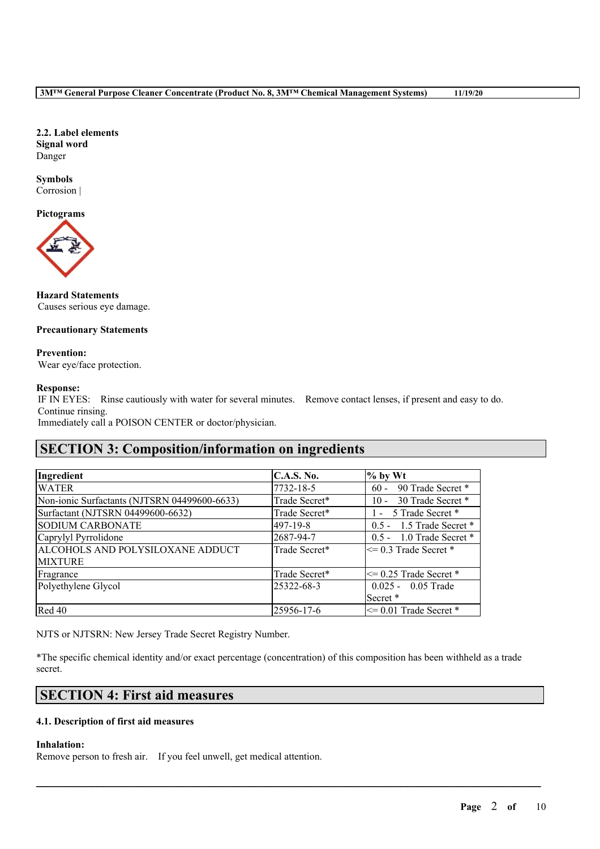**2.2. Label elements Signal word** Danger

#### **Symbols** Corrosion |

**Pictograms**



**Hazard Statements** Causes serious eye damage.

### **Precautionary Statements**

**Prevention:** Wear eye/face protection.

### **Response:**

IF IN EYES: Rinse cautiously with water for several minutes. Remove contact lenses, if present and easy to do. Continue rinsing.

Immediately call a POISON CENTER or doctor/physician.

## **SECTION 3: Composition/information on ingredients**

| Ingredient                                   | <b>C.A.S. No.</b> | $%$ by Wt                    |
|----------------------------------------------|-------------------|------------------------------|
| <b>WATER</b>                                 | 7732-18-5         | 90 Trade Secret *<br>$60 -$  |
| Non-ionic Surfactants (NJTSRN 04499600-6633) | Trade Secret*     | 30 Trade Secret *<br>$10 -$  |
| Surfactant (NJTSRN 04499600-6632)            | Trade Secret*     | 1 - 5 Trade Secret *         |
| <b>SODIUM CARBONATE</b>                      | 497-19-8          | $0.5 - 1.5$ Trade Secret $*$ |
| Caprylyl Pyrrolidone                         | 2687-94-7         | $0.5 - 1.0$ Trade Secret $*$ |
| ALCOHOLS AND POLYSILOXANE ADDUCT             | Trade Secret*     | $\leq$ 0.3 Trade Secret *    |
| <b>MIXTURE</b>                               |                   |                              |
| Fragrance                                    | Trade Secret*     | $\leq$ 0.25 Trade Secret *   |
| Polyethylene Glycol                          | 25322-68-3        | $0.025 - 0.05$ Trade         |
|                                              |                   | Secret *                     |
| Red 40                                       | 25956-17-6        | $\leq$ 0.01 Trade Secret *   |

NJTS or NJTSRN: New Jersey Trade Secret Registry Number.

\*The specific chemical identity and/or exact percentage (concentration) of this composition has been withheld as a trade secret.

 $\mathcal{L}_\mathcal{L} = \mathcal{L}_\mathcal{L} = \mathcal{L}_\mathcal{L} = \mathcal{L}_\mathcal{L} = \mathcal{L}_\mathcal{L} = \mathcal{L}_\mathcal{L} = \mathcal{L}_\mathcal{L} = \mathcal{L}_\mathcal{L} = \mathcal{L}_\mathcal{L} = \mathcal{L}_\mathcal{L} = \mathcal{L}_\mathcal{L} = \mathcal{L}_\mathcal{L} = \mathcal{L}_\mathcal{L} = \mathcal{L}_\mathcal{L} = \mathcal{L}_\mathcal{L} = \mathcal{L}_\mathcal{L} = \mathcal{L}_\mathcal{L}$ 

### **SECTION 4: First aid measures**

### **4.1. Description of first aid measures**

**Inhalation:**

Remove person to fresh air. If you feel unwell, get medical attention.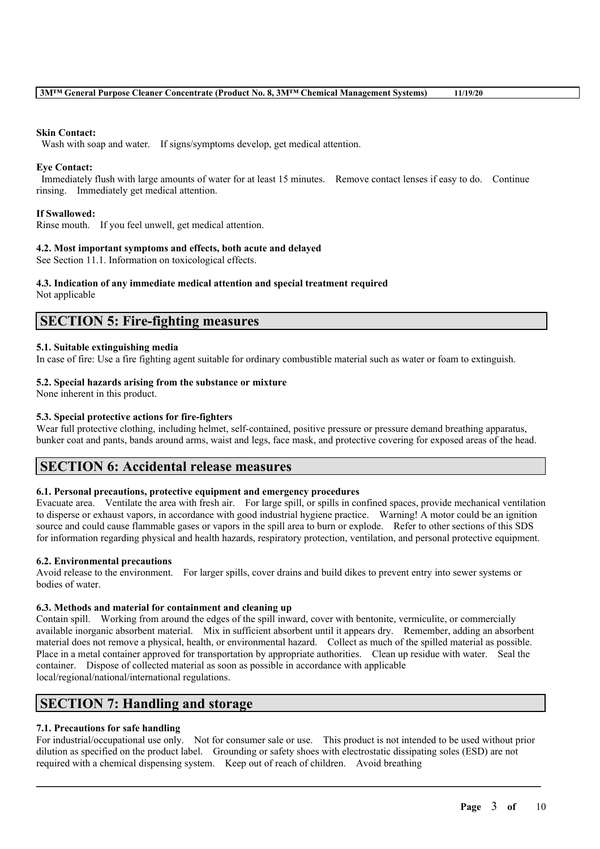#### **Skin Contact:**

Wash with soap and water. If signs/symptoms develop, get medical attention.

### **Eye Contact:**

Immediately flush with large amounts of water for at least 15 minutes. Remove contact lenses if easy to do. Continue rinsing. Immediately get medical attention.

### **If Swallowed:**

Rinse mouth. If you feel unwell, get medical attention.

#### **4.2. Most important symptoms and effects, both acute and delayed**

See Section 11.1. Information on toxicological effects.

### **4.3. Indication of any immediate medical attention and special treatment required**

Not applicable

### **SECTION 5: Fire-fighting measures**

#### **5.1. Suitable extinguishing media**

In case of fire: Use a fire fighting agent suitable for ordinary combustible material such as water or foam to extinguish.

#### **5.2. Special hazards arising from the substance or mixture**

None inherent in this product.

### **5.3. Special protective actions for fire-fighters**

Wear full protective clothing, including helmet, self-contained, positive pressure or pressure demand breathing apparatus, bunker coat and pants, bands around arms, waist and legs, face mask, and protective covering for exposed areas of the head.

### **SECTION 6: Accidental release measures**

### **6.1. Personal precautions, protective equipment and emergency procedures**

Evacuate area. Ventilate the area with fresh air. For large spill, or spills in confined spaces, provide mechanical ventilation to disperse or exhaust vapors, in accordance with good industrial hygiene practice. Warning! A motor could be an ignition source and could cause flammable gases or vapors in the spill area to burn or explode. Refer to other sections of this SDS for information regarding physical and health hazards, respiratory protection, ventilation, and personal protective equipment.

### **6.2. Environmental precautions**

Avoid release to the environment. For larger spills, cover drains and build dikes to prevent entry into sewer systems or bodies of water.

### **6.3. Methods and material for containment and cleaning up**

Contain spill. Working from around the edges of the spill inward, cover with bentonite, vermiculite, or commercially available inorganic absorbent material. Mix in sufficient absorbent until it appears dry. Remember, adding an absorbent material does not remove a physical, health, or environmental hazard. Collect as much of the spilled material as possible. Place in a metal container approved for transportation by appropriate authorities. Clean up residue with water. Seal the container. Dispose of collected material as soon as possible in accordance with applicable local/regional/national/international regulations.

### **SECTION 7: Handling and storage**

### **7.1. Precautions for safe handling**

For industrial/occupational use only. Not for consumer sale or use. This product is not intended to be used without prior dilution as specified on the product label. Grounding or safety shoes with electrostatic dissipating soles (ESD) are not required with a chemical dispensing system. Keep out of reach of children. Avoid breathing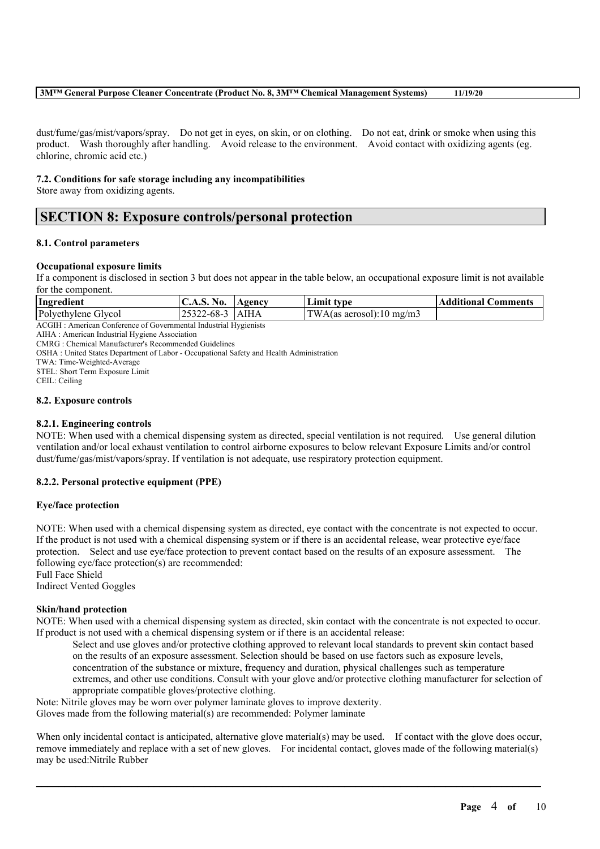### **3M™ General Purpose Cleaner Concentrate (Product No. 8, 3M™ Chemical Management Systems) 11/19/20**

dust/fume/gas/mist/vapors/spray. Do not get in eyes, on skin, or on clothing. Do not eat, drink or smoke when using this product. Wash thoroughly after handling. Avoid release to the environment. Avoid contact with oxidizing agents (eg. chlorine, chromic acid etc.)

### **7.2. Conditions for safe storage including any incompatibilities**

Store away from oxidizing agents.

### **SECTION 8: Exposure controls/personal protection**

### **8.1. Control parameters**

#### **Occupational exposure limits**

If a component is disclosed in section 3 but does not appear in the table below, an occupational exposure limit is not available for the component.

| Ingredient          | No.<br>C.A.S.     | <b>Agency</b> | Limit type               | <b>Additional Comments</b> |
|---------------------|-------------------|---------------|--------------------------|----------------------------|
| Polyethylene Glycol | 25322-68-3   AIHA |               | TWA(as aerosol):10 mg/m3 |                            |

ACGIH : American Conference of Governmental Industrial Hygienists

AIHA : American Industrial Hygiene Association

CMRG : Chemical Manufacturer's Recommended Guidelines

OSHA : United States Department of Labor - Occupational Safety and Health Administration

TWA: Time-Weighted-Average

STEL: Short Term Exposure Limit

CEIL: Ceiling

#### **8.2. Exposure controls**

### **8.2.1. Engineering controls**

NOTE: When used with a chemical dispensing system as directed, special ventilation is not required. Use general dilution ventilation and/or local exhaust ventilation to control airborne exposures to below relevant Exposure Limits and/or control dust/fume/gas/mist/vapors/spray. If ventilation is not adequate, use respiratory protection equipment.

### **8.2.2. Personal protective equipment (PPE)**

### **Eye/face protection**

NOTE: When used with a chemical dispensing system as directed, eye contact with the concentrate is not expected to occur. If the product is not used with a chemical dispensing system or if there is an accidental release, wear protective eye/face protection. Select and use eye/face protection to prevent contact based on the results of an exposure assessment. The following eye/face protection(s) are recommended:

Full Face Shield

Indirect Vented Goggles

### **Skin/hand protection**

NOTE: When used with a chemical dispensing system as directed, skin contact with the concentrate is not expected to occur. If product is not used with a chemical dispensing system or if there is an accidental release:

Select and use gloves and/or protective clothing approved to relevant local standards to prevent skin contact based on the results of an exposure assessment. Selection should be based on use factors such as exposure levels, concentration of the substance or mixture, frequency and duration, physical challenges such as temperature extremes, and other use conditions. Consult with your glove and/or protective clothing manufacturer for selection of appropriate compatible gloves/protective clothing.

Note: Nitrile gloves may be worn over polymer laminate gloves to improve dexterity.

Gloves made from the following material(s) are recommended: Polymer laminate

When only incidental contact is anticipated, alternative glove material(s) may be used. If contact with the glove does occur, remove immediately and replace with a set of new gloves. For incidental contact, gloves made of the following material(s) may be used:Nitrile Rubber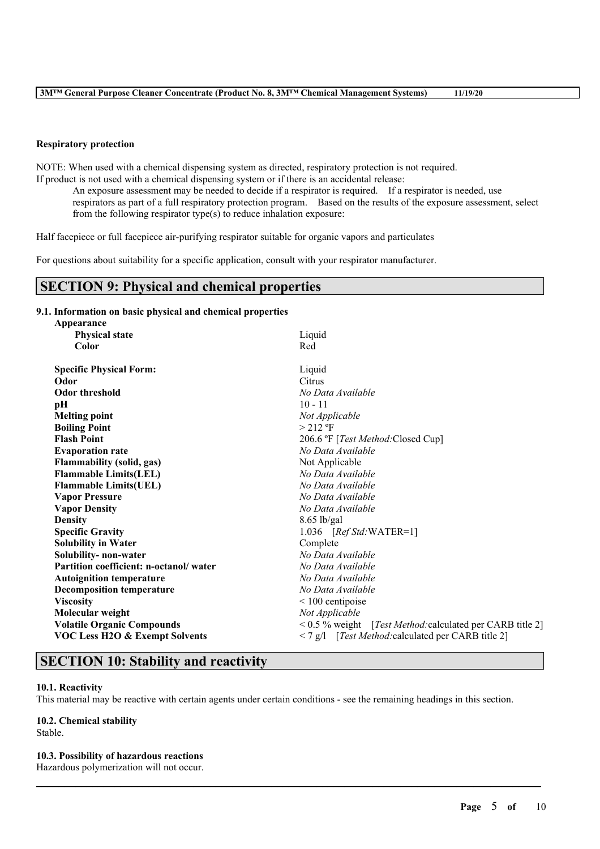#### **Respiratory protection**

NOTE: When used with a chemical dispensing system as directed, respiratory protection is not required. If product is not used with a chemical dispensing system or if there is an accidental release:

An exposure assessment may be needed to decide if a respirator is required. If a respirator is needed, use respirators as part of a full respiratory protection program. Based on the results of the exposure assessment, select from the following respirator type(s) to reduce inhalation exposure:

Half facepiece or full facepiece air-purifying respirator suitable for organic vapors and particulates

For questions about suitability for a specific application, consult with your respirator manufacturer.

### **SECTION 9: Physical and chemical properties**

### **9.1. Information on basic physical and chemical properties**

| Appearance                                |                                                           |  |  |
|-------------------------------------------|-----------------------------------------------------------|--|--|
| <b>Physical state</b>                     | Liquid                                                    |  |  |
| Color                                     | Red                                                       |  |  |
| <b>Specific Physical Form:</b>            | Liquid                                                    |  |  |
| Odor                                      | Citrus                                                    |  |  |
| <b>Odor threshold</b>                     | No Data Available                                         |  |  |
| pН                                        | $10 - 11$                                                 |  |  |
| <b>Melting point</b>                      | Not Applicable                                            |  |  |
| <b>Boiling Point</b>                      | $> 212$ °F                                                |  |  |
| <b>Flash Point</b>                        | 206.6 °F [Test Method: Closed Cup]                        |  |  |
| <b>Evaporation rate</b>                   | No Data Available                                         |  |  |
| <b>Flammability (solid, gas)</b>          | Not Applicable                                            |  |  |
| <b>Flammable Limits(LEL)</b>              | No Data Available                                         |  |  |
| <b>Flammable Limits(UEL)</b>              | No Data Available                                         |  |  |
| <b>Vapor Pressure</b>                     | No Data Available                                         |  |  |
| <b>Vapor Density</b>                      | No Data Available                                         |  |  |
| <b>Density</b>                            | $8.65$ lb/gal                                             |  |  |
| <b>Specific Gravity</b>                   | 1.036 $[RefStd:WATER=1]$                                  |  |  |
| <b>Solubility in Water</b>                | Complete                                                  |  |  |
| Solubility- non-water                     | No Data Available                                         |  |  |
| Partition coefficient: n-octanol/water    | No Data Available                                         |  |  |
| <b>Autoignition temperature</b>           | No Data Available                                         |  |  |
| <b>Decomposition temperature</b>          | No Data Available                                         |  |  |
| <b>Viscosity</b>                          | $<$ 100 centipoise                                        |  |  |
| Molecular weight                          | Not Applicable                                            |  |  |
| <b>Volatile Organic Compounds</b>         | < 0.5 % weight [Test Method: calculated per CARB title 2] |  |  |
| <b>VOC Less H2O &amp; Exempt Solvents</b> | < 7 g/l [Test Method: calculated per CARB title 2]        |  |  |

### **SECTION 10: Stability and reactivity**

#### **10.1. Reactivity**

This material may be reactive with certain agents under certain conditions - see the remaining headings in this section.

 $\mathcal{L}_\mathcal{L} = \mathcal{L}_\mathcal{L} = \mathcal{L}_\mathcal{L} = \mathcal{L}_\mathcal{L} = \mathcal{L}_\mathcal{L} = \mathcal{L}_\mathcal{L} = \mathcal{L}_\mathcal{L} = \mathcal{L}_\mathcal{L} = \mathcal{L}_\mathcal{L} = \mathcal{L}_\mathcal{L} = \mathcal{L}_\mathcal{L} = \mathcal{L}_\mathcal{L} = \mathcal{L}_\mathcal{L} = \mathcal{L}_\mathcal{L} = \mathcal{L}_\mathcal{L} = \mathcal{L}_\mathcal{L} = \mathcal{L}_\mathcal{L}$ 

#### **10.2. Chemical stability**

Stable.

#### **10.3. Possibility of hazardous reactions**

Hazardous polymerization will not occur.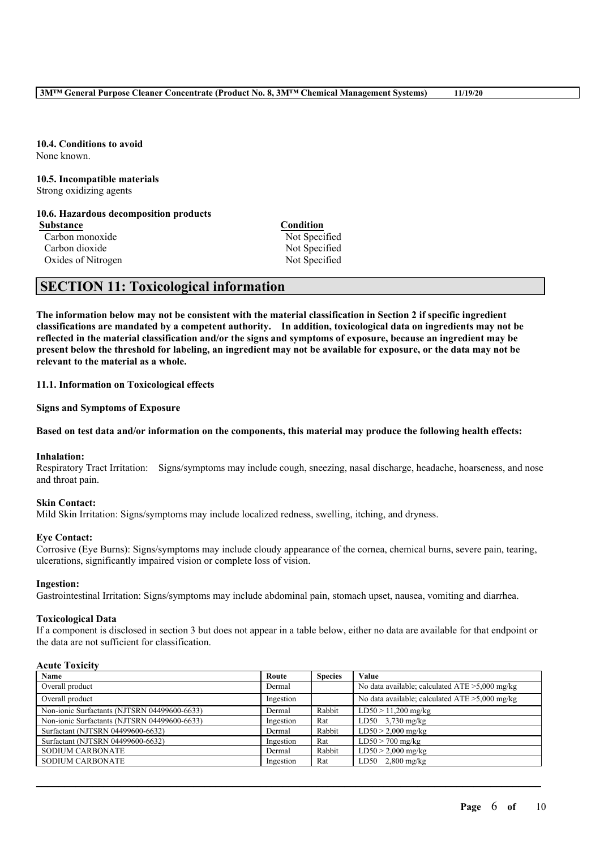**10.4. Conditions to avoid** None known.

#### **10.5. Incompatible materials** Strong oxidizing agents

**10.6. Hazardous decomposition products**

**Substance**<br> **Carbon monoxide**<br> **Carbon monoxide**<br> **Carbon monoxide**<br> **Carbon monoxide** Carbon monoxide Carbon dioxide Not Specified Oxides of Nitrogen Not Specified

### **SECTION 11: Toxicological information**

The information below may not be consistent with the material classification in Section 2 if specific ingredient **classifications are mandated by a competent authority. In addition, toxicological data on ingredients may not be** reflected in the material classification and/or the signs and symptoms of exposure, because an ingredient may be present below the threshold for labeling, an ingredient may not be available for exposure, or the data may not be **relevant to the material as a whole.**

**11.1. Information on Toxicological effects**

**Signs and Symptoms of Exposure**

### Based on test data and/or information on the components, this material may produce the following health effects:

#### **Inhalation:**

Respiratory Tract Irritation: Signs/symptoms may include cough, sneezing, nasal discharge, headache, hoarseness, and nose and throat pain.

### **Skin Contact:**

Mild Skin Irritation: Signs/symptoms may include localized redness, swelling, itching, and dryness.

### **Eye Contact:**

Corrosive (Eye Burns): Signs/symptoms may include cloudy appearance of the cornea, chemical burns, severe pain, tearing, ulcerations, significantly impaired vision or complete loss of vision.

### **Ingestion:**

Gastrointestinal Irritation: Signs/symptoms may include abdominal pain, stomach upset, nausea, vomiting and diarrhea.

### **Toxicological Data**

If a component is disclosed in section 3 but does not appear in a table below, either no data are available for that endpoint or the data are not sufficient for classification.

#### **Acute Toxicity**

| <b>Name</b>                                  | Route     | <b>Species</b> | Value                                             |
|----------------------------------------------|-----------|----------------|---------------------------------------------------|
| Overall product                              | Dermal    |                | No data available; calculated $ATE > 5,000$ mg/kg |
| Overall product                              | Ingestion |                | No data available; calculated $ATE > 5,000$ mg/kg |
| Non-ionic Surfactants (NJTSRN 04499600-6633) | Dermal    | Rabbit         | $LD50 > 11,200$ mg/kg                             |
| Non-ionic Surfactants (NJTSRN 04499600-6633) | Ingestion | Rat            | $\overline{LD50}$ 3,730 mg/kg                     |
| Surfactant (NJTSRN 04499600-6632)            | Dermal    | Rabbit         | $LD50 > 2,000$ mg/kg                              |
| Surfactant (NJTSRN 04499600-6632)            | Ingestion | Rat            | $LD50 > 700$ mg/kg                                |
| <b>SODIUM CARBONATE</b>                      | Dermal    | Rabbit         | $LD50 > 2,000$ mg/kg                              |
| <b>SODIUM CARBONATE</b>                      | Ingestion | Rat            | $LD50$ 2,800 mg/kg                                |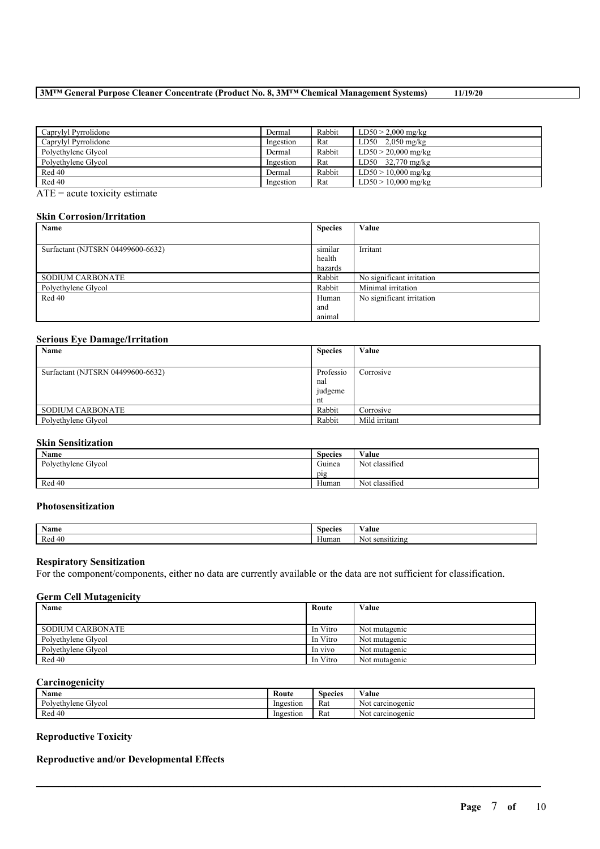### **3M™ General Purpose Cleaner Concentrate (Product No. 8, 3M™ Chemical Management Systems) 11/19/20**

| Caprylyl Pyrrolidone | Dermal    | Rabbit | $LD50 > 2,000$ mg/kg  |
|----------------------|-----------|--------|-----------------------|
| Caprylyl Pyrrolidone | Ingestion | Rat    | $LD50$ 2,050 mg/kg    |
| Polvethylene Glycol  | Dermal    | Rabbit | $LD50 > 20,000$ mg/kg |
| Polvethylene Glycol  | Ingestion | Rat    | $LD50$ 32,770 mg/kg   |
| Red 40               | Dermal    | Rabbit | $LD50 > 10,000$ mg/kg |
| Red 40               | Ingestion | Rat    | $LD50 > 10,000$ mg/kg |

ATE = acute toxicity estimate

### **Skin Corrosion/Irritation**

| Name                              | <b>Species</b> | Value                     |
|-----------------------------------|----------------|---------------------------|
|                                   |                |                           |
| Surfactant (NJTSRN 04499600-6632) | similar        | Irritant                  |
|                                   | health         |                           |
|                                   | hazards        |                           |
| <b>SODIUM CARBONATE</b>           | Rabbit         | No significant irritation |
| Polyethylene Glycol               | Rabbit         | Minimal irritation        |
| Red 40                            | Human          | No significant irritation |
|                                   | and            |                           |
|                                   | animal         |                           |

### **Serious Eye Damage/Irritation**

| Name                              | <b>Species</b> | Value         |
|-----------------------------------|----------------|---------------|
|                                   |                |               |
| Surfactant (NJTSRN 04499600-6632) | Professio      | Corrosive     |
|                                   | nal            |               |
|                                   | judgeme        |               |
|                                   | nt             |               |
| <b>SODIUM CARBONATE</b>           | Rabbit         | Corrosive     |
| Polyethylene Glycol               | Rabbit         | Mild irritant |

### **Skin Sensitization**

| Name                | <b>Species</b>          | Value          |
|---------------------|-------------------------|----------------|
| Polyethylene Glycol | $\sim$ $\sim$<br>Guinea | Not classified |
|                     | pig                     |                |
| Red 40              | Human                   | Not classified |

### **Photosensitization**

| $\rightarrow$<br>Name       | $\sim$<br>Species | 'alue                                                 |
|-----------------------------|-------------------|-------------------------------------------------------|
| Red<br>$\overline{A}$<br>__ | Human             | ---<br>N <sub>0</sub><br>an.<br>sensitizini<br>``\\\. |

#### **Respiratory Sensitization**

For the component/components, either no data are currently available or the data are not sufficient for classification.

### **Germ Cell Mutagenicity**

| Name                | Route    | Value         |
|---------------------|----------|---------------|
|                     |          |               |
| SODIUM CARBONATE    | In Vitro | Not mutagenic |
| Polvethylene Glycol | In Vitro | Not mutagenic |
| Polvethylene Glycol | In vivo  | Not mutagenic |
| Red 40              | In Vitro | Not mutagenic |

### **Carcinogenicity**

| $\mathbf{v}$<br>Name                   | Route     | <b>Species</b> | $\mathbf{v}$<br>⁄ alue    |
|----------------------------------------|-----------|----------------|---------------------------|
| $\mathbf{r}$<br>Polvethylene<br>Givcol | Ingestion | Rat            | carcinogenic<br>NM<br>NUI |
| Red 40                                 | Ingestion | Rat            | carcinogenic<br>Not       |

 $\mathcal{L}_\mathcal{L} = \mathcal{L}_\mathcal{L} = \mathcal{L}_\mathcal{L} = \mathcal{L}_\mathcal{L} = \mathcal{L}_\mathcal{L} = \mathcal{L}_\mathcal{L} = \mathcal{L}_\mathcal{L} = \mathcal{L}_\mathcal{L} = \mathcal{L}_\mathcal{L} = \mathcal{L}_\mathcal{L} = \mathcal{L}_\mathcal{L} = \mathcal{L}_\mathcal{L} = \mathcal{L}_\mathcal{L} = \mathcal{L}_\mathcal{L} = \mathcal{L}_\mathcal{L} = \mathcal{L}_\mathcal{L} = \mathcal{L}_\mathcal{L}$ 

### **Reproductive Toxicity**

### **Reproductive and/or Developmental Effects**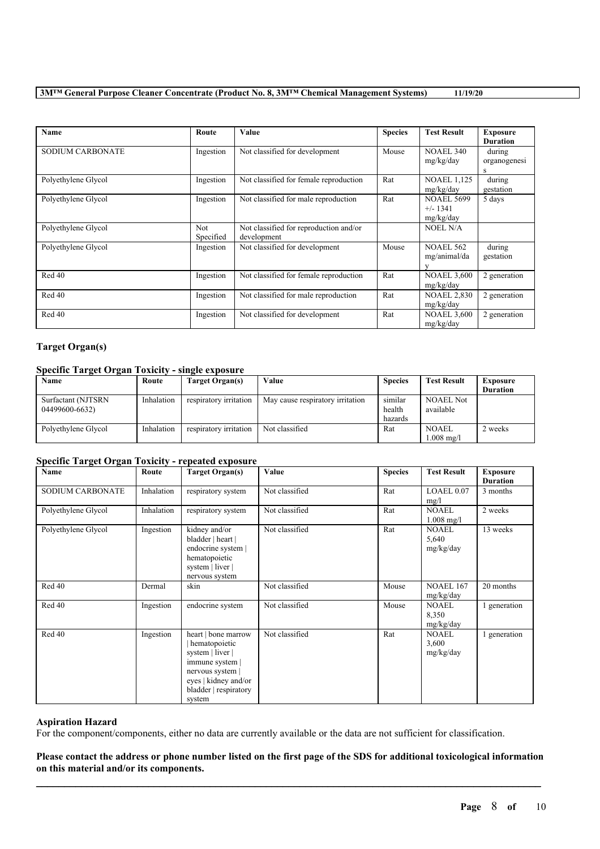### **3M™ General Purpose Cleaner Concentrate (Product No. 8, 3M™ Chemical Management Systems) 11/19/20**

| Name                    | Route             | <b>Value</b>                                          | <b>Species</b> | <b>Test Result</b>                           | <b>Exposure</b>             |
|-------------------------|-------------------|-------------------------------------------------------|----------------|----------------------------------------------|-----------------------------|
|                         |                   |                                                       |                |                                              | <b>Duration</b>             |
| <b>SODIUM CARBONATE</b> | Ingestion         | Not classified for development                        | Mouse          | <b>NOAEL 340</b><br>mg/kg/day                | during<br>organogenesi<br>S |
| Polyethylene Glycol     | Ingestion         | Not classified for female reproduction                | Rat            | <b>NOAEL 1,125</b><br>mg/kg/day              | during<br>gestation         |
| Polyethylene Glycol     | Ingestion         | Not classified for male reproduction                  | Rat            | <b>NOAEL 5699</b><br>$+/- 1341$<br>mg/kg/day | 5 days                      |
| Polyethylene Glycol     | Not.<br>Specified | Not classified for reproduction and/or<br>development |                | NOEL N/A                                     |                             |
| Polyethylene Glycol     | Ingestion         | Not classified for development                        | Mouse          | <b>NOAEL 562</b><br>mg/animal/da             | during<br>gestation         |
| Red 40                  | Ingestion         | Not classified for female reproduction                | Rat            | <b>NOAEL 3,600</b><br>mg/kg/day              | 2 generation                |
| Red 40                  | Ingestion         | Not classified for male reproduction                  | Rat            | <b>NOAEL 2,830</b><br>mg/kg/day              | 2 generation                |
| Red 40                  | Ingestion         | Not classified for development                        | Rat            | <b>NOAEL 3.600</b><br>mg/kg/day              | 2 generation                |

### **Target Organ(s)**

### **Specific Target Organ Toxicity - single exposure**

| Name                                 | Route      | Target Organ(s)        | ∀alue                            | <b>Species</b>               | <b>Test Result</b>                   | Exposure<br><b>Duration</b> |
|--------------------------------------|------------|------------------------|----------------------------------|------------------------------|--------------------------------------|-----------------------------|
| Surfactant (NJTSRN<br>04499600-6632) | Inhalation | respiratory irritation | May cause respiratory irritation | similar<br>health<br>hazards | <b>NOAEL Not</b><br>available        |                             |
| Polyethylene Glycol                  | Inhalation | respiratory irritation | Not classified                   | Rat                          | <b>NOAEL</b><br>$1.008 \text{ mg/l}$ | 2 weeks                     |

### **Specific Target Organ Toxicity - repeated exposure**

| Name                | Route      | <b>Target Organ(s)</b>                                                                                                                                     | Value          | <b>Species</b> | <b>Test Result</b>                 | <b>Exposure</b><br><b>Duration</b> |
|---------------------|------------|------------------------------------------------------------------------------------------------------------------------------------------------------------|----------------|----------------|------------------------------------|------------------------------------|
| SODIUM CARBONATE    | Inhalation | respiratory system                                                                                                                                         | Not classified | Rat            | LOAEL 0.07<br>mg/l                 | 3 months                           |
| Polyethylene Glycol | Inhalation | respiratory system                                                                                                                                         | Not classified | Rat            | <b>NOAEL</b><br>$1.008$ mg/l       | 2 weeks                            |
| Polyethylene Glycol | Ingestion  | kidney and/or<br>bladder   heart  <br>endocrine system  <br>hematopoietic<br>system   liver  <br>nervous system                                            | Not classified | Rat            | <b>NOAEL</b><br>5,640<br>mg/kg/day | 13 weeks                           |
| Red 40              | Dermal     | skin                                                                                                                                                       | Not classified | Mouse          | <b>NOAEL 167</b><br>mg/kg/day      | 20 months                          |
| Red 40              | Ingestion  | endocrine system                                                                                                                                           | Not classified | Mouse          | <b>NOAEL</b><br>8,350<br>mg/kg/day | 1 generation                       |
| Red 40              | Ingestion  | heart   bone marrow<br>hematopoietic<br>system   liver  <br>immune system  <br>nervous system  <br>eyes   kidney and/or<br>bladder   respiratory<br>system | Not classified | Rat            | <b>NOAEL</b><br>3,600<br>mg/kg/day | 1 generation                       |

### **Aspiration Hazard**

For the component/components, either no data are currently available or the data are not sufficient for classification.

 $\mathcal{L}_\mathcal{L} = \mathcal{L}_\mathcal{L} = \mathcal{L}_\mathcal{L} = \mathcal{L}_\mathcal{L} = \mathcal{L}_\mathcal{L} = \mathcal{L}_\mathcal{L} = \mathcal{L}_\mathcal{L} = \mathcal{L}_\mathcal{L} = \mathcal{L}_\mathcal{L} = \mathcal{L}_\mathcal{L} = \mathcal{L}_\mathcal{L} = \mathcal{L}_\mathcal{L} = \mathcal{L}_\mathcal{L} = \mathcal{L}_\mathcal{L} = \mathcal{L}_\mathcal{L} = \mathcal{L}_\mathcal{L} = \mathcal{L}_\mathcal{L}$ Please contact the address or phone number listed on the first page of the SDS for additional toxicological information **on this material and/or its components.**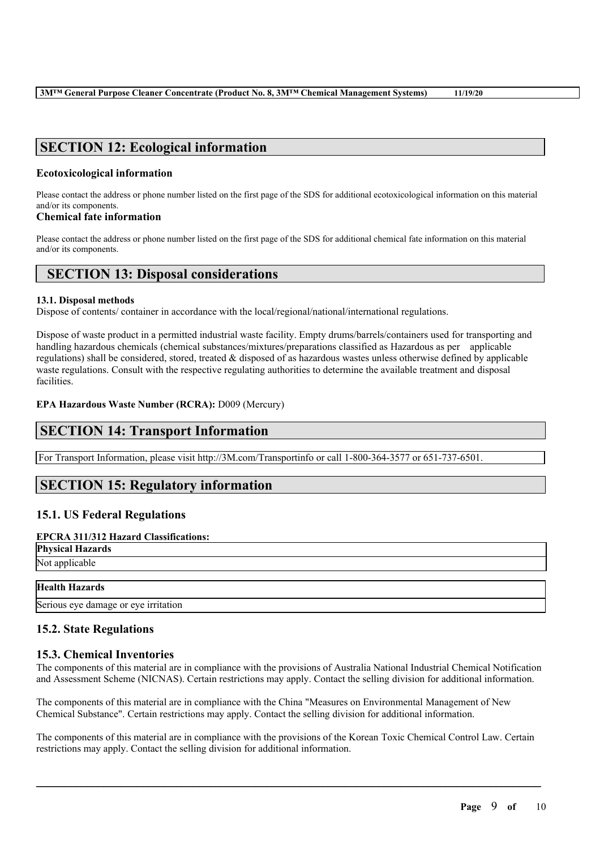### **SECTION 12: Ecological information**

### **Ecotoxicological information**

Please contact the address or phone number listed on the first page of the SDS for additional ecotoxicological information on this material and/or its components.

### **Chemical fate information**

Please contact the address or phone number listed on the first page of the SDS for additional chemical fate information on this material and/or its components.

### **SECTION 13: Disposal considerations**

#### **13.1. Disposal methods**

Dispose of contents/ container in accordance with the local/regional/national/international regulations.

Dispose of waste product in a permitted industrial waste facility. Empty drums/barrels/containers used for transporting and handling hazardous chemicals (chemical substances/mixtures/preparations classified as Hazardous as per applicable regulations) shall be considered, stored, treated & disposed of as hazardous wastes unless otherwise defined by applicable waste regulations. Consult with the respective regulating authorities to determine the available treatment and disposal facilities.

### **EPA Hazardous Waste Number (RCRA):** D009 (Mercury)

### **SECTION 14: Transport Information**

For Transport Information, please visit http://3M.com/Transportinfo or call 1-800-364-3577 or 651-737-6501.

### **SECTION 15: Regulatory information**

### **15.1. US Federal Regulations**

### **EPCRA 311/312 Hazard Classifications:**

**Physical Hazards** Not applicable

# **Health Hazards**

Serious eye damage or eye irritation

### **15.2. State Regulations**

### **15.3. Chemical Inventories**

The components of this material are in compliance with the provisions of Australia National Industrial Chemical Notification and Assessment Scheme (NICNAS). Certain restrictions may apply. Contact the selling division for additional information.

The components of this material are in compliance with the China "Measures on Environmental Management of New Chemical Substance". Certain restrictions may apply. Contact the selling division for additional information.

The components of this material are in compliance with the provisions of the Korean Toxic Chemical Control Law. Certain restrictions may apply. Contact the selling division for additional information.